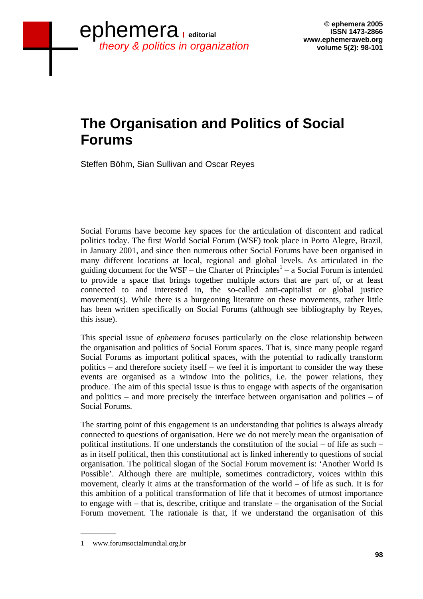## **The Organisation and Politics of Social Forums**

Steffen Böhm, Sian Sullivan and Oscar Reyes

Social Forums have become key spaces for the articulation of discontent and radical politics today. The first World Social Forum (WSF) took place in Porto Alegre, Brazil, in January 2001, and since then numerous other Social Forums have been organised in many different locations at local, regional and global levels. As articulated in the guiding document for the WSF – the Charter of Principles<sup>1</sup> – a Social Forum is intended to provide a space that brings together multiple actors that are part of, or at least connected to and interested in, the so-called anti-capitalist or global justice movement(s). While there is a burgeoning literature on these movements, rather little has been written specifically on Social Forums (although see bibliography by Reyes, this issue).

This special issue of *ephemera* focuses particularly on the close relationship between the organisation and politics of Social Forum spaces. That is, since many people regard Social Forums as important political spaces, with the potential to radically transform politics – and therefore society itself – we feel it is important to consider the way these events are organised as a window into the politics, i.e. the power relations, they produce. The aim of this special issue is thus to engage with aspects of the organisation and politics – and more precisely the interface between organisation and politics – of Social Forums.

The starting point of this engagement is an understanding that politics is always already connected to questions of organisation. Here we do not merely mean the organisation of political institutions. If one understands the constitution of the social – of life as such – as in itself political, then this constitutional act is linked inherently to questions of social organisation. The political slogan of the Social Forum movement is: 'Another World Is Possible'. Although there are multiple, sometimes contradictory, voices within this movement, clearly it aims at the transformation of the world – of life as such. It is for this ambition of a political transformation of life that it becomes of utmost importance to engage with – that is, describe, critique and translate – the organisation of the Social Forum movement. The rationale is that, if we understand the organisation of this

\_\_\_\_\_\_\_\_\_\_

<sup>1</sup> www.forumsocialmundial.org.br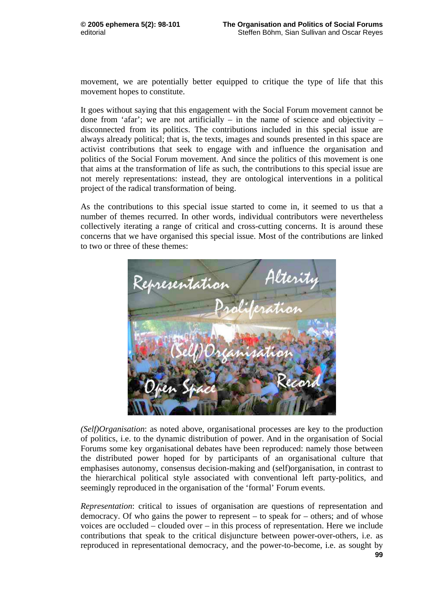movement, we are potentially better equipped to critique the type of life that this movement hopes to constitute.

It goes without saying that this engagement with the Social Forum movement cannot be done from 'afar'; we are not artificially – in the name of science and objectivity – disconnected from its politics. The contributions included in this special issue are always already political; that is, the texts, images and sounds presented in this space are activist contributions that seek to engage with and influence the organisation and politics of the Social Forum movement. And since the politics of this movement is one that aims at the transformation of life as such, the contributions to this special issue are not merely representations: instead, they are ontological interventions in a political project of the radical transformation of being.

As the contributions to this special issue started to come in, it seemed to us that a number of themes recurred. In other words, individual contributors were nevertheless collectively iterating a range of critical and cross-cutting concerns. It is around these concerns that we have organised this special issue. Most of the contributions are linked to two or three of these themes:



*(Self)Organisation*: as noted above, organisational processes are key to the production of politics, i.e. to the dynamic distribution of power. And in the organisation of Social Forums some key organisational debates have been reproduced: namely those between the distributed power hoped for by participants of an organisational culture that emphasises autonomy, consensus decision-making and (self)organisation, in contrast to the hierarchical political style associated with conventional left party-politics, and seemingly reproduced in the organisation of the 'formal' Forum events.

*Representation*: critical to issues of organisation are questions of representation and democracy. Of who gains the power to represent – to speak for – others; and of whose voices are occluded – clouded over – in this process of representation. Here we include contributions that speak to the critical disjuncture between power-over-others, i.e. as reproduced in representational democracy, and the power-to-become, i.e. as sought by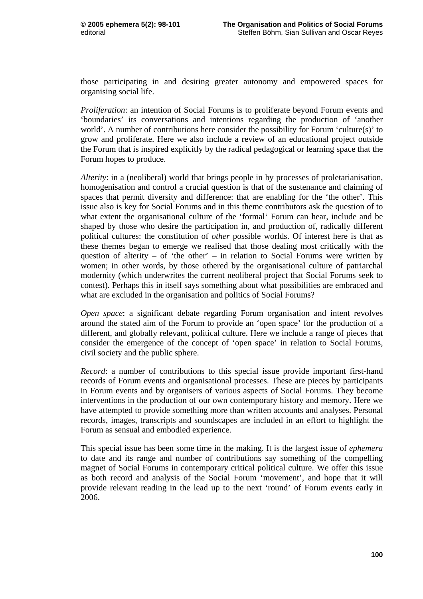those participating in and desiring greater autonomy and empowered spaces for organising social life.

*Proliferation*: an intention of Social Forums is to proliferate beyond Forum events and 'boundaries' its conversations and intentions regarding the production of 'another world'. A number of contributions here consider the possibility for Forum 'culture(s)' to grow and proliferate. Here we also include a review of an educational project outside the Forum that is inspired explicitly by the radical pedagogical or learning space that the Forum hopes to produce.

*Alterity*: in a (neoliberal) world that brings people in by processes of proletarianisation, homogenisation and control a crucial question is that of the sustenance and claiming of spaces that permit diversity and difference: that are enabling for the 'the other'. This issue also is key for Social Forums and in this theme contributors ask the question of to what extent the organisational culture of the 'formal' Forum can hear, include and be shaped by those who desire the participation in, and production of, radically different political cultures: the constitution of *other* possible worlds. Of interest here is that as these themes began to emerge we realised that those dealing most critically with the question of alterity – of 'the other' – in relation to Social Forums were written by women; in other words, by those othered by the organisational culture of patriarchal modernity (which underwrites the current neoliberal project that Social Forums seek to contest). Perhaps this in itself says something about what possibilities are embraced and what are excluded in the organisation and politics of Social Forums?

*Open space*: a significant debate regarding Forum organisation and intent revolves around the stated aim of the Forum to provide an 'open space' for the production of a different, and globally relevant, political culture. Here we include a range of pieces that consider the emergence of the concept of 'open space' in relation to Social Forums, civil society and the public sphere.

*Record*: a number of contributions to this special issue provide important first-hand records of Forum events and organisational processes. These are pieces by participants in Forum events and by organisers of various aspects of Social Forums. They become interventions in the production of our own contemporary history and memory. Here we have attempted to provide something more than written accounts and analyses. Personal records, images, transcripts and soundscapes are included in an effort to highlight the Forum as sensual and embodied experience.

This special issue has been some time in the making. It is the largest issue of *ephemera* to date and its range and number of contributions say something of the compelling magnet of Social Forums in contemporary critical political culture. We offer this issue as both record and analysis of the Social Forum 'movement', and hope that it will provide relevant reading in the lead up to the next 'round' of Forum events early in 2006.